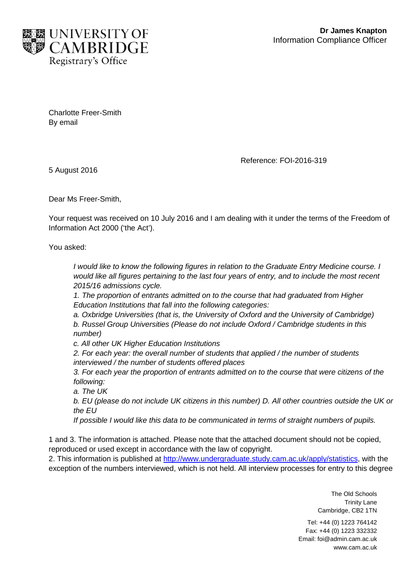

Charlotte Freer-Smith By email

Reference: FOI-2016-319

5 August 2016

Dear Ms Freer-Smith,

Your request was received on 10 July 2016 and I am dealing with it under the terms of the Freedom of Information Act 2000 ('the Act').

You asked:

*I* would like to know the following figures in relation to the Graduate Entry Medicine course. *I would like all figures pertaining to the last four years of entry, and to include the most recent 2015/16 admissions cycle.*

*1. The proportion of entrants admitted on to the course that had graduated from Higher Education Institutions that fall into the following categories:* 

*a. Oxbridge Universities (that is, the University of Oxford and the University of Cambridge) b. Russel Group Universities (Please do not include Oxford / Cambridge students in this number)* 

*c. All other UK Higher Education Institutions*

*2. For each year: the overall number of students that applied / the number of students interviewed / the number of students offered places*

*3. For each year the proportion of entrants admitted on to the course that were citizens of the following:* 

*a. The UK*

*b. EU (please do not include UK citizens in this number) D. All other countries outside the UK or the EU* 

*If possible I would like this data to be communicated in terms of straight numbers of pupils.*

1 and 3. The information is attached. Please note that the attached document should not be copied, reproduced or used except in accordance with the law of copyright.

2. This information is published at [http://www.undergraduate.study.cam.ac.uk/apply/statistics,](http://www.undergraduate.study.cam.ac.uk/apply/statistics) with the exception of the numbers interviewed, which is not held. All interview processes for entry to this degree

> The Old Schools Trinity Lane Cambridge, CB2 1TN

Tel: +44 (0) 1223 764142 Fax: +44 (0) 1223 332332 Email: foi@admin.cam.ac.uk www.cam.ac.uk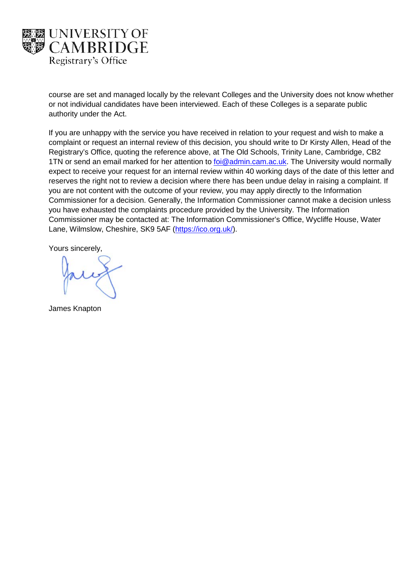

course are set and managed locally by the relevant Colleges and the University does not know whether or not individual candidates have been interviewed. Each of these Colleges is a separate public authority under the Act.

If you are unhappy with the service you have received in relation to your request and wish to make a complaint or request an internal review of this decision, you should write to Dr Kirsty Allen, Head of the Registrary's Office, quoting the reference above, at The Old Schools, Trinity Lane, Cambridge, CB2 1TN or send an email marked for her attention to [foi@admin.cam.ac.uk.](mailto:xxx@xxxxx.xxx.xx.xx) The University would normally expect to receive your request for an internal review within 40 working days of the date of this letter and reserves the right not to review a decision where there has been undue delay in raising a complaint. If you are not content with the outcome of your review, you may apply directly to the Information Commissioner for a decision. Generally, the Information Commissioner cannot make a decision unless you have exhausted the complaints procedure provided by the University. The Information Commissioner may be contacted at: The Information Commissioner's Office, Wycliffe House, Water Lane, Wilmslow, Cheshire, SK9 5AF [\(https://ico.org.uk/\)](https://ico.org.uk/).

Yours sincerely,

James Knapton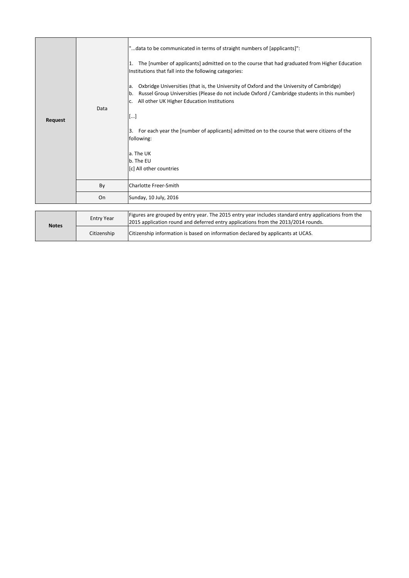| Request | Data | "data to be communicated in terms of straight numbers of [applicants]":<br>The [number of applicants] admitted on to the course that had graduated from Higher Education<br>11.<br>Institutions that fall into the following categories:<br>Oxbridge Universities (that is, the University of Oxford and the University of Cambridge)<br>la.<br>Russel Group Universities (Please do not include Oxford / Cambridge students in this number)<br>lb.<br>All other UK Higher Education Institutions<br>IC.<br>[]<br>For each year the [number of applicants] admitted on to the course that were citizens of the<br>3.<br>following:<br>a. The UK<br>b. The EU<br>[c] All other countries |
|---------|------|-----------------------------------------------------------------------------------------------------------------------------------------------------------------------------------------------------------------------------------------------------------------------------------------------------------------------------------------------------------------------------------------------------------------------------------------------------------------------------------------------------------------------------------------------------------------------------------------------------------------------------------------------------------------------------------------|
|         | By   | <b>Charlotte Freer-Smith</b>                                                                                                                                                                                                                                                                                                                                                                                                                                                                                                                                                                                                                                                            |
|         | On   | Sunday, 10 July, 2016                                                                                                                                                                                                                                                                                                                                                                                                                                                                                                                                                                                                                                                                   |
|         |      |                                                                                                                                                                                                                                                                                                                                                                                                                                                                                                                                                                                                                                                                                         |

| <b>Notes</b> | <b>Entry Year</b> | Figures are grouped by entry year. The 2015 entry year includes standard entry applications from the<br>2015 application round and deferred entry applications from the 2013/2014 rounds. |
|--------------|-------------------|-------------------------------------------------------------------------------------------------------------------------------------------------------------------------------------------|
|              | Citizenship       | Citizenship information is based on information declared by applicants at UCAS.                                                                                                           |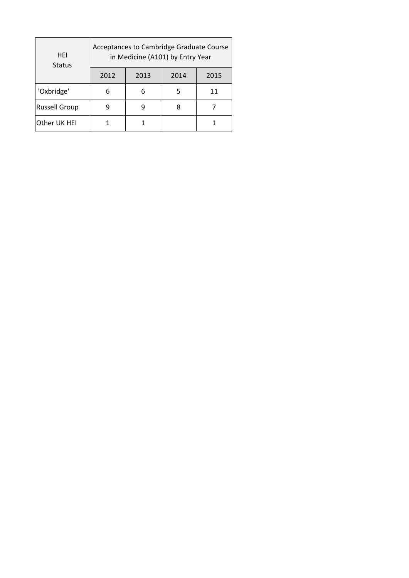| HEI<br><b>Status</b> | Acceptances to Cambridge Graduate Course<br>in Medicine (A101) by Entry Year |      |      |      |  |
|----------------------|------------------------------------------------------------------------------|------|------|------|--|
|                      | 2012                                                                         | 2013 | 2014 | 2015 |  |
| 'Oxbridge'           | 6                                                                            |      | 5    | 11   |  |
| <b>Russell Group</b> |                                                                              |      | 8    |      |  |
| Other UK HEI         |                                                                              |      |      |      |  |